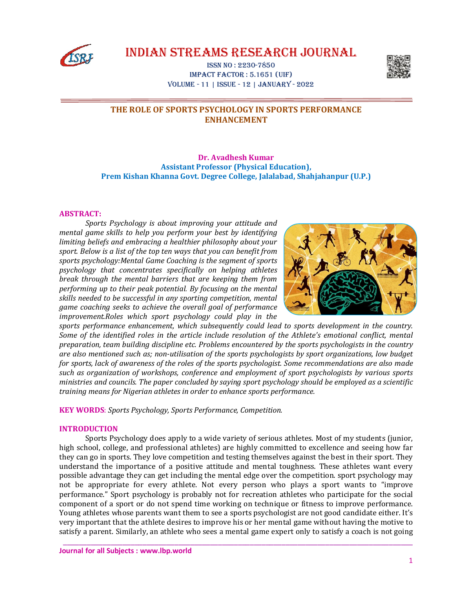

IndIan StreamS reSearch Journal

ISSn no : 2230-7850 Impact Factor : 5.1651 (uIF) Volume - 11 | ISSue - 12 | January - 2022



# **THE ROLE OF SPORTS PSYCHOLOGY IN SPORTS PERFORMANCE ENHANCEMENT**

# **Dr. Avadhesh Kumar Assistant Professor (Physical Education), Prem Kishan Khanna Govt. Degree College, Jalalabad, Shahjahanpur (U.P.)**

### **ABSTRACT:**

*Sports Psychology is about improving your attitude and mental game skills to help you perform your best by identifying limiting beliefs and embracing a healthier philosophy about your sport. Below is a list of the top ten ways that you can benefit from sports psychology:Mental Game Coaching is the segment of sports psychology that concentrates specifically on helping athletes break through the mental barriers that are keeping them from performing up to their peak potential. By focusing on the mental skills needed to be successful in any sporting competition, mental game coaching seeks to achieve the overall goal of performance improvement.Roles which sport psychology could play in the* 



*sports performance enhancement, which subsequently could lead to sports development in the country. Some of the identified roles in the article include resolution of the Athlete's emotional conflict, mental preparation, team building discipline etc. Problems encountered by the sports psychologists in the country are also mentioned such as; non-utilisation of the sports psychologists by sport organizations, low budget for sports, lack of awareness of the roles of the sports psychologist. Some recommendations are also made such as organization of workshops, conference and employment of sport psychologists by various sports ministries and councils. The paper concluded by saying sport psychology should be employed as a scientific training means for Nigerian athletes in order to enhance sports performance.*

**KEY WORDS**: *Sports Psychology, Sports Performance, Competition.*

## **INTRODUCTION**

Sports Psychology does apply to a wide variety of serious athletes. Most of my students (junior, high school, college, and professional athletes) are highly committed to excellence and seeing how far they can go in sports. They love competition and testing themselves against the best in their sport. They understand the importance of a positive attitude and mental toughness. These athletes want every possible advantage they can get including the mental edge over the competition. sport psychology may not be appropriate for every athlete. Not every person who plays a sport wants to "improve performance." Sport psychology is probably not for recreation athletes who participate for the social component of a sport or do not spend time working on technique or fitness to improve performance. Young athletes whose parents want them to see a sports psychologist are not good candidate either. It's very important that the athlete desires to improve his or her mental game without having the motive to satisfy a parent. Similarly, an athlete who sees a mental game expert only to satisfy a coach is not going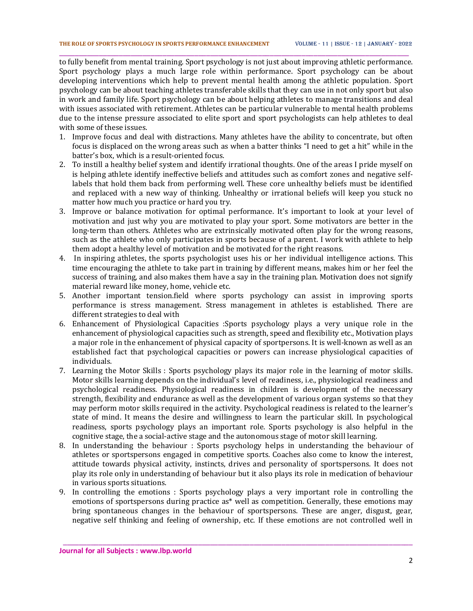to fully benefit from mental training. Sport psychology is not just about improving athletic performance. Sport psychology plays a much large role within performance. Sport psychology can be about developing interventions which help to prevent mental health among the athletic population. Sport psychology can be about teaching athletes transferable skills that they can use in not only sport but also in work and family life. Sport psychology can be about helping athletes to manage transitions and deal with issues associated with retirement. Athletes can be particular vulnerable to mental health problems due to the intense pressure associated to elite sport and sport psychologists can help athletes to deal with some of these issues.

\_\_\_\_\_\_\_\_\_\_\_\_\_\_\_\_\_\_\_\_\_\_\_\_\_\_\_\_\_\_\_\_\_\_\_\_\_\_\_\_\_\_\_\_\_\_\_\_\_\_\_\_\_\_\_\_\_\_\_\_\_\_\_\_\_\_\_\_\_\_\_\_\_\_\_\_\_\_\_\_\_\_\_\_\_\_\_\_

- 1. Improve focus and deal with distractions. Many athletes have the ability to concentrate, but often focus is displaced on the wrong areas such as when a batter thinks "I need to get a hit" while in the batter's box, which is a result-oriented focus.
- 2. To instill a healthy belief system and identify irrational thoughts. One of the areas I pride myself on is helping athlete identify ineffective beliefs and attitudes such as comfort zones and negative selflabels that hold them back from performing well. These core unhealthy beliefs must be identified and replaced with a new way of thinking. Unhealthy or irrational beliefs will keep you stuck no matter how much you practice or hard you try.
- 3. Improve or balance motivation for optimal performance. It's important to look at your level of motivation and just why you are motivated to play your sport. Some motivators are better in the long-term than others. Athletes who are extrinsically motivated often play for the wrong reasons, such as the athlete who only participates in sports because of a parent. I work with athlete to help them adopt a healthy level of motivation and be motivated for the right reasons.
- 4. In inspiring athletes, the sports psychologist uses his or her individual intelligence actions. This time encouraging the athlete to take part in training by different means, makes him or her feel the success of training, and also makes them have a say in the training plan. Motivation does not signify material reward like money, home, vehicle etc.
- 5. Another important tension.field where sports psychology can assist in improving sports performance is stress management. Stress management in athletes is established. There are different strategies to deal with
- 6. Enhancement of Physiological Capacities :Sports psychology plays a very unique role in the enhancement of physiological capacities such as strength, speed and flexibility etc., Motivation plays a major role in the enhancement of physical capacity of sportpersons. It is well-known as well as an established fact that psychological capacities or powers can increase physiological capacities of individuals.
- 7. Learning the Motor Skills : Sports psychology plays its major role in the learning of motor skills. Motor skills learning depends on the individual's level of readiness, i.e., physiological readiness and psychological readiness. Physiological readiness in children is development of the necessary strength, flexibility and endurance as well as the development of various organ systems so that they may perform motor skills required in the activity. Psychological readiness is related to the learner's state of mind. It means the desire and willingness to learn the particular skill. In psychological readiness, sports psychology plays an important role. Sports psychology is also helpful in the cognitive stage, the a social-active stage and the autonomous stage of motor skill learning.
- 8. In understanding the behaviour : Sports psychology helps in understanding the behaviour of athletes or sportspersons engaged in competitive sports. Coaches also come to know the interest, attitude towards physical activity, instincts, drives and personality of sportspersons. It does not play its role only in understanding of behaviour but it also plays its role in medication of behaviour in various sports situations.
- 9. In controlling the emotions : Sports psychology plays a very important role in controlling the emotions of sportspersons during practice as\* well as competition. Generally, these emotions may bring spontaneous changes in the behaviour of sportspersons. These are anger, disgust, gear, negative self thinking and feeling of ownership, etc. If these emotions are not controlled well in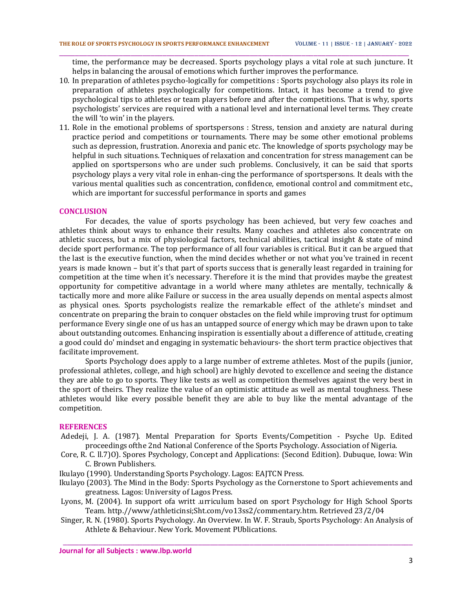time, the performance may be decreased. Sports psychology plays a vital role at such juncture. It helps in balancing the arousal of emotions which further improves the performance.

\_\_\_\_\_\_\_\_\_\_\_\_\_\_\_\_\_\_\_\_\_\_\_\_\_\_\_\_\_\_\_\_\_\_\_\_\_\_\_\_\_\_\_\_\_\_\_\_\_\_\_\_\_\_\_\_\_\_\_\_\_\_\_\_\_\_\_\_\_\_\_\_\_\_\_\_\_\_\_\_\_\_\_\_\_\_\_\_

- 10. In preparation of athletes psycho-logically for competitions : Sports psychology also plays its role in preparation of athletes psychologically for competitions. Intact, it has become a trend to give psychological tips to athletes or team players before and after the competitions. That is why, sports psychologists' services are required with a national level and international level terms. They create the will 'to win' in the players.
- 11. Role in the emotional problems of sportspersons : Stress, tension and anxiety are natural during practice period and competitions or tournaments. There may be some other emotional problems such as depression, frustration. Anorexia and panic etc. The knowledge of sports psychology may be helpful in such situations. Techniques of relaxation and concentration for stress management can be applied on sportspersons who are under such problems. Conclusively, it can be said that sports psychology plays a very vital role in enhan-cing the performance of sportspersons. It deals with the various mental qualities such as concentration, confidence, emotional control and commitment etc., which are important for successful performance in sports and games

#### **CONCLUSION**

For decades, the value of sports psychology has been achieved, but very few coaches and athletes think about ways to enhance their results. Many coaches and athletes also concentrate on athletic success, but a mix of physiological factors, technical abilities, tactical insight & state of mind decide sport performance. The top performance of all four variables is critical. But it can be argued that the last is the executive function, when the mind decides whether or not what you've trained in recent years is made known – but it's that part of sports success that is generally least regarded in training for competition at the time when it's necessary. Therefore it is the mind that provides maybe the greatest opportunity for competitive advantage in a world where many athletes are mentally, technically  $\&$ tactically more and more alike Failure or success in the area usually depends on mental aspects almost as physical ones. Sports psychologists realize the remarkable effect of the athlete's mindset and concentrate on preparing the brain to conquer obstacles on the field while improving trust for optimum performance Every single one of us has an untapped source of energy which may be drawn upon to take about outstanding outcomes. Enhancing inspiration is essentially about a difference of attitude, creating a good could do' mindset and engaging in systematic behaviours- the short term practice objectives that facilitate improvement.

Sports Psychology does apply to a large number of extreme athletes. Most of the pupils (junior, professional athletes, college, and high school) are highly devoted to excellence and seeing the distance they are able to go to sports. They like tests as well as competition themselves against the very best in the sport of theirs. They realize the value of an optimistic attitude as well as mental toughness. These athletes would like every possible benefit they are able to buy like the mental advantage of the competition.

### **REFERENCES**

- Adedeji, J. A. (1987). Mental Preparation for Sports Events/Competition Psyche Up. Edited proceedings ofthe 2nd National Conference of the Sports Psychology. Association of Nigeria.
- Core, R. C. ll.7)O). Spores Psychology, Concept and Applications: (Second Edition). Dubuque, Iowa: Win C. Brown Publishers.
- Ikulayo (1990). Understanding Sports Psychology. Lagos: EAJTCN Press.
- Ikulayo (2003). The Mind in the Body: Sports Psychology as the Cornerstone to Sport achievements and greatness. Lagos: University of Lagos Press.
- Lyons, M. (2004). In support ofa writt .urriculum based on sport Psychology for High School Sports Team. http.//www/athleticinsi;Sht.com/vo13ss2/commentary.htm. Retrieved 23/2/04
- Singer, R. N. (1980). Sports Psychology. An Overview. In W. F. Straub, Sports Psychology: An Analysis of Athlete & Behaviour. New York. Movement PUblications.